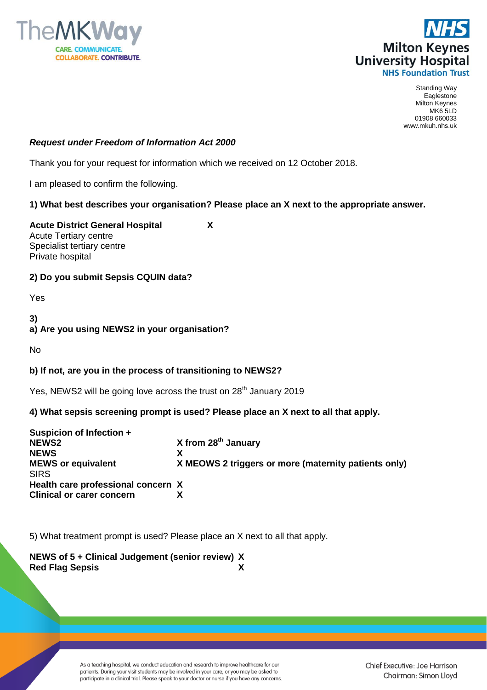



Standing Way Eaglestone Milton Keynes MK6 5LD 01908 660033 www.mkuh.nhs.uk

### *Request under Freedom of Information Act 2000*

Thank you for your request for information which we received on 12 October 2018.

I am pleased to confirm the following.

## **1) What best describes your organisation? Please place an X next to the appropriate answer.**

**Acute District General Hospital X** Acute Tertiary centre Specialist tertiary centre Private hospital

## **2) Do you submit Sepsis CQUIN data?**

Yes

**3) a) Are you using NEWS2 in your organisation?**

No

# **b) If not, are you in the process of transitioning to NEWS2?**

Yes, NEWS2 will be going love across the trust on  $28<sup>th</sup>$  January 2019

# **4) What sepsis screening prompt is used? Please place an X next to all that apply.**

| Suspicion of Infection +           |                                                      |
|------------------------------------|------------------------------------------------------|
| <b>NEWS2</b>                       | X from $28th$ January                                |
| <b>NEWS</b>                        |                                                      |
| <b>MEWS or equivalent</b>          | X MEOWS 2 triggers or more (maternity patients only) |
| <b>SIRS</b>                        |                                                      |
| Health care professional concern X |                                                      |
| <b>Clinical or carer concern</b>   |                                                      |

5) What treatment prompt is used? Please place an X next to all that apply.

## **NEWS of 5 + Clinical Judgement (senior review) X Red Flag Sepsis X**

As a teaching hospital, we conduct education and research to improve healthcare for our patients. During your visit students may be involved in your care, or you may be asked to participate in a clinical trial. Please speak to your doctor or nurse if you have any concerns.